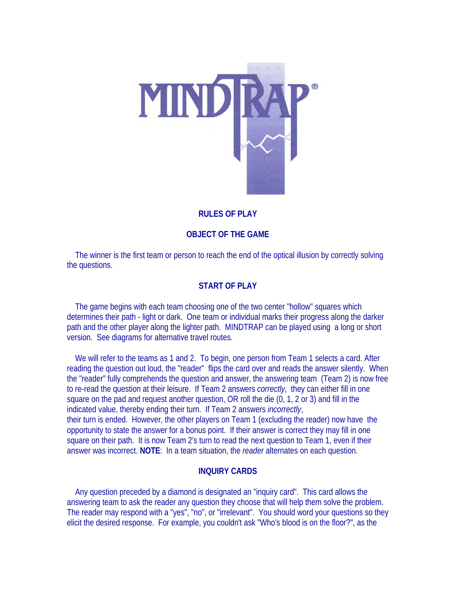

# **RULES OF PLAY**

## **OBJECT OF THE GAME**

 The winner is the first team or person to reach the end of the optical illusion by correctly solving the questions.

## **START OF PLAY**

 The game begins with each team choosing one of the two center "hollow" squares which determines their path - light or dark. One team or individual marks their progress along the darker path and the other player along the lighter path. MINDTRAP can be played using a long or short version. See diagrams for alternative travel routes.

We will refer to the teams as 1 and 2. To begin, one person from Team 1 selects a card. After reading the question out loud, the "reader" flips the card over and reads the answer silently. When the "reader" fully comprehends the question and answer, the answering team (Team 2) is now free to re-read the question at their leisure. If Team 2 answers *correctly*, they can either fill in one square on the pad and request another question, OR roll the die (0, 1, 2 or 3) and fill in the indicated value, thereby ending their turn. If Team 2 answers *incorrectly*, their turn is ended. However, the other players on Team 1 (excluding the reader) now have the opportunity to state the answer for a bonus point. If their answer is correct they may fill in one square on their path. It is now Team 2's turn to read the next question to Team 1, even if their answer was incorrect. **NOTE**: In a team situation, the *reader* alternates on each question.

### **INQUIRY CARDS**

 Any question preceded by a diamond is designated an "inquiry card". This card allows the answering team to ask the reader any question they choose that will help them solve the problem. The reader may respond with a "yes", "no", or "irrelevant". You should word your questions so they elicit the desired response. For example, you couldn't ask "Who's blood is on the floor?", as the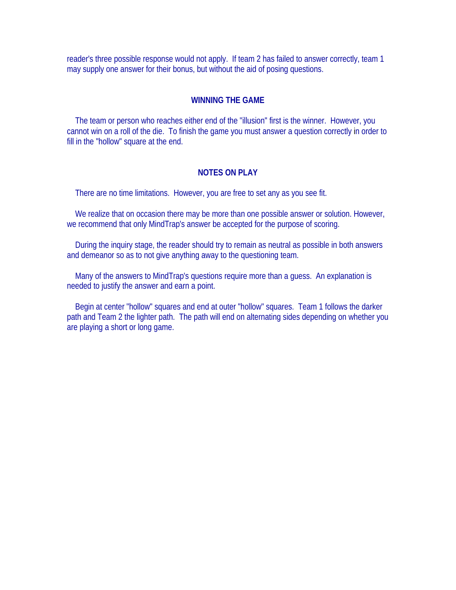reader's three possible response would not apply. If team 2 has failed to answer correctly, team 1 may supply one answer for their bonus, but without the aid of posing questions.

#### **WINNING THE GAME**

 The team or person who reaches either end of the "illusion" first is the winner. However, you cannot win on a roll of the die. To finish the game you must answer a question correctly in order to fill in the "hollow" square at the end.

#### **NOTES ON PLAY**

There are no time limitations. However, you are free to set any as you see fit.

We realize that on occasion there may be more than one possible answer or solution. However, we recommend that only MindTrap's answer be accepted for the purpose of scoring.

 During the inquiry stage, the reader should try to remain as neutral as possible in both answers and demeanor so as to not give anything away to the questioning team.

 Many of the answers to MindTrap's questions require more than a guess. An explanation is needed to justify the answer and earn a point.

 Begin at center "hollow" squares and end at outer "hollow" squares. Team 1 follows the darker path and Team 2 the lighter path. The path will end on alternating sides depending on whether you are playing a short or long game.